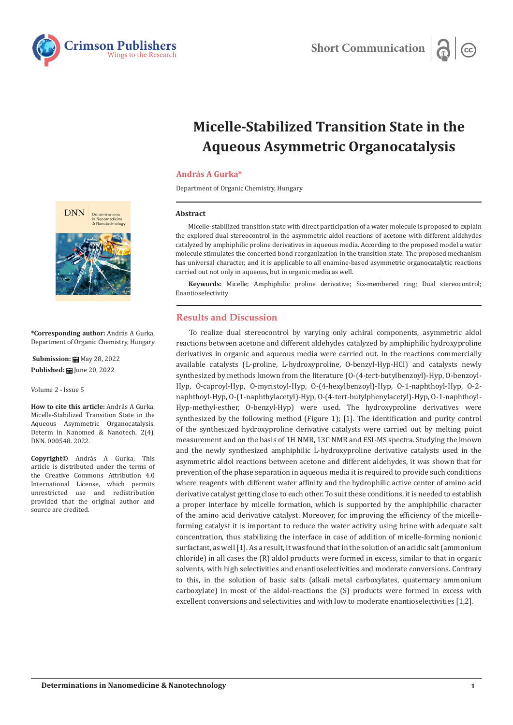

# **Micelle-Stabilized Transition State in the Aqueous Asymmetric Organocatalysis**

## **András A Gurka\***

Department of Organic Chemistry, Hungary

#### **Abstract**

Micelle-stabilized transition state with direct participation of a water molecule is proposed to explain the explored dual stereocontrol in the asymmetric aldol reactions of acetone with different aldehydes catalyzed by amphiphilic proline derivatives in aqueous media. According to the proposed model a water molecule stimulates the concerted bond reorganization in the transition state. The proposed mechanism has universal character, and it is applicable to all enamine-based asymmetric organocatalytic reactions carried out not only in aqueous, but in organic media as well.

**Keywords:** Micelle; Amphiphilic proline derivative; Six-membered ring; Dual stereocontrol; Enantioselectivity

## **Results and Discussion**

To realize dual stereocontrol by varying only achiral components, asymmetric aldol reactions between acetone and different aldehydes catalyzed by amphiphilic hydroxyproline derivatives in organic and aqueous media were carried out. In the reactions commercially available catalysts (L-proline, L-hydroxyproline, O-benzyl-Hyp-HCl) and catalysts newly synthesized by methods known from the literature (O-(4-tert-butylbenzoyl)-Hyp, O-benzoyl-Hyp, O-caproyl-Hyp, O-myristoyl-Hyp, O-(4-hexylbenzoyl)-Hyp, O-1-naphthoyl-Hyp, O-2 naphthoyl-Hyp, O-(1-naphthylacetyl)-Hyp, O-(4-tert-butylphenylacetyl)-Hyp, O-1-naphthoyl-Hyp-methyl-esther, O-benzyl-Hyp) were used. The hydroxyproline derivatives were synthesized by the following method (Figure 1); [1]. The identification and purity control of the synthesized hydroxyproline derivative catalysts were carried out by melting point measurement and on the basis of 1H NMR, 13C NMR and ESI-MS spectra. Studying the known and the newly synthesized amphiphilic L-hydroxyproline derivative catalysts used in the asymmetric aldol reactions between acetone and different aldehydes, it was shown that for prevention of the phase separation in aqueous media it is required to provide such conditions where reagents with different water affinity and the hydrophilic active center of amino acid derivative catalyst getting close to each other. To suit these conditions, it is needed to establish a proper interface by micelle formation, which is supported by the amphiphilic character of the amino acid derivative catalyst. Moreover, for improving the efficiency of the micelleforming catalyst it is important to reduce the water activity using brine with adequate salt concentration, thus stabilizing the interface in case of addition of micelle-forming nonionic surfactant, as well [1]. As a result, it was found that in the solution of an acidic salt (ammonium chloride) in all cases the (R) aldol products were formed in excess, similar to that in organic solvents, with high selectivities and enantioselectivities and moderate conversions. Contrary to this, in the solution of basic salts (alkali metal carboxylates, quaternary ammonium carboxylate) in most of the aldol-reactions the (S) products were formed in excess with excellent conversions and selectivities and with low to moderate enantioselectivities [1,2].



**\*Corresponding author:** András A Gurka, Department of Organic Chemistry, Hungary

**Submission:** May 28, 2022 **Published: | June 20, 2022** 

Volume 2 - Issue 5

**How to cite this article:** András A Gurka. Micelle-Stabilized Transition State in the Aqueous Asymmetric Organocatalysis. Determ in Nanomed & Nanotech. 2(4). DNN. 000548. 2022.

**Copyright©** András A Gurka, This article is distributed under the terms of the Creative Commons Attribution 4.0 International License, which permits unrestricted use and redistribution provided that the original author and source are credited.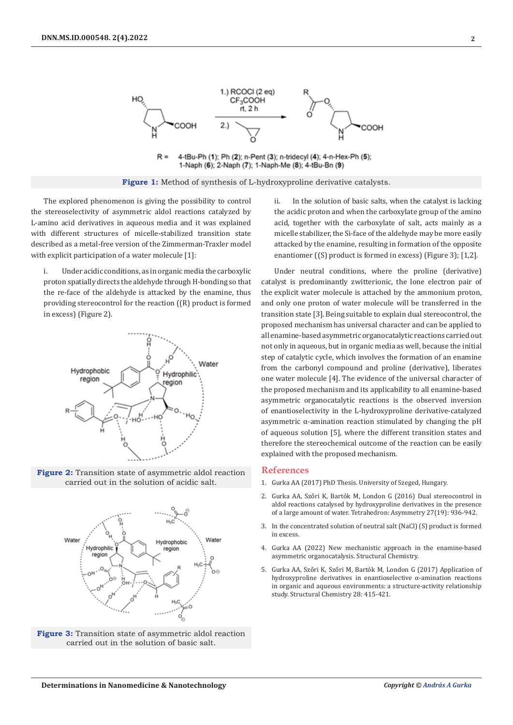

4-tBu-Ph (1); Ph (2); n-Pent (3); n-tridecyl (4); 4-n-Hex-Ph (5);  $R =$ 1-Naph (6); 2-Naph (7); 1-Naph-Me (8); 4-tBu-Bn (9)

**Figure 1:** Method of synthesis of L-hydroxyproline derivative catalysts.

The explored phenomenon is giving the possibility to control the stereoselectivity of asymmetric aldol reactions catalyzed by L-amino acid derivatives in aqueous media and it was explained with different structures of micelle-stabilized transition state described as a metal-free version of the Zimmerman-Traxler model with explicit participation of a water molecule [1]:

i. Under acidic conditions, as in organic media the carboxylic proton spatially directs the aldehyde through H-bonding so that the re-face of the aldehyde is attacked by the enamine, thus providing stereocontrol for the reaction ((R) product is formed in excess) (Figure 2).



**Figure 2:** Transition state of asymmetric aldol reaction carried out in the solution of acidic salt.



**Figure 3:** Transition state of asymmetric aldol reaction carried out in the solution of basic salt.

ii. In the solution of basic salts, when the catalyst is lacking the acidic proton and when the carboxylate group of the amino acid, together with the carboxylate of salt, acts mainly as a micelle stabilizer, the Si-face of the aldehyde may be more easily attacked by the enamine, resulting in formation of the opposite enantiomer ((S) product is formed in excess) (Figure 3); [1,2].

Under neutral conditions, where the proline (derivative) catalyst is predominantly zwitterionic, the lone electron pair of the explicit water molecule is attached by the ammonium proton, and only one proton of water molecule will be transferred in the transition state [3]. Being suitable to explain dual stereocontrol, the proposed mechanism has universal character and can be applied to all enamine-based asymmetric organocatalytic reactions carried out not only in aqueous, but in organic media as well, because the initial step of catalytic cycle, which involves the formation of an enamine from the carbonyl compound and proline (derivative), liberates one water molecule [4]. The evidence of the universal character of the proposed mechanism and its applicability to all enamine-based asymmetric organocatalytic reactions is the observed inversion of enantioselectivity in the L-hydroxyproline derivative-catalyzed asymmetric  $\alpha$ -amination reaction stimulated by changing the pH of aqueous solution [5], where the different transition states and therefore the stereochemical outcome of the reaction can be easily explained with the proposed mechanism.

### **References**

- 1. Gurka AA (2017) PhD Thesis. University of Szeged, Hungary.
- 2. Gurka AA, Sz[őri K, Bartók M, London G \(2016\) Dual stereocontrol in](https://www.sciencedirect.com/science/article/abs/pii/S0957416616302105) [aldol reactions catalysed by hydroxyproline derivatives in the presence](https://www.sciencedirect.com/science/article/abs/pii/S0957416616302105) [of a large amount of water. Tetrahedron: Asymmetry 27\(19\): 936-942.](https://www.sciencedirect.com/science/article/abs/pii/S0957416616302105)
- 3. In the concentrated solution of neutral salt (NaCl) (S) product is formed in excess.
- 4. [Gurka AA \(2022\) New mechanistic approach in the enamine-based](https://link.springer.com/article/10.1007/s11224-022-01952-w) [asymmetric organocatalysis. Structural Chemistry.](https://link.springer.com/article/10.1007/s11224-022-01952-w)
- 5. Gurka AA, Sz[őri K, Szőri M, Bartók M, London G \(2017\) Application of](https://link.springer.com/article/10.1007/s11224-016-0873-z) [hydroxyproline derivatives in enantioselective α-amination reactions](https://link.springer.com/article/10.1007/s11224-016-0873-z) [in organic and aqueous environments: a structure-activity relationship](https://link.springer.com/article/10.1007/s11224-016-0873-z) [study. Structural Chemistry 28: 415-421.](https://link.springer.com/article/10.1007/s11224-016-0873-z)